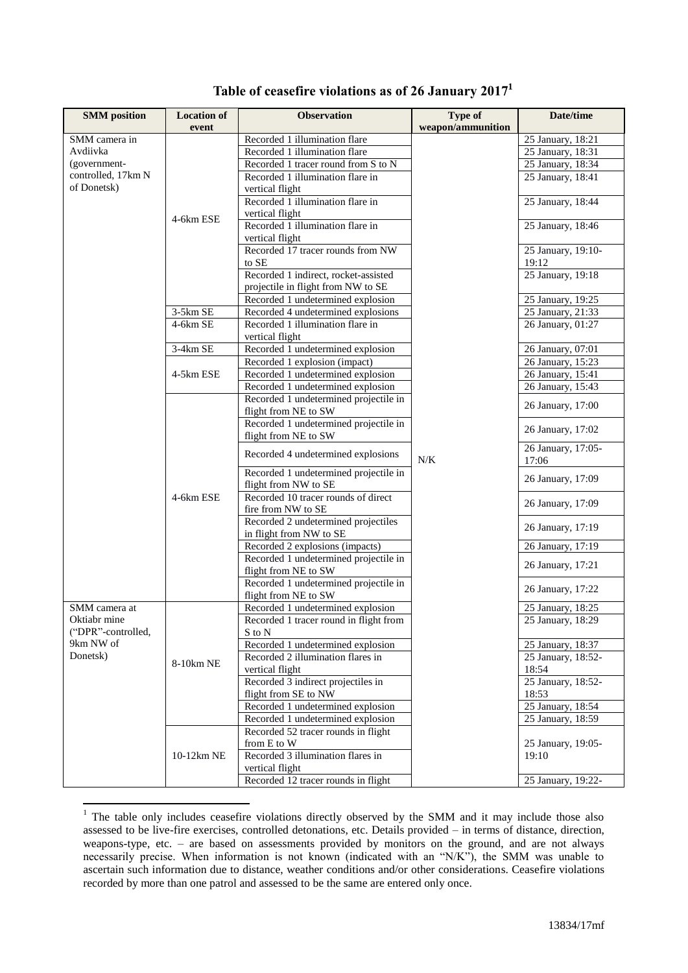| <b>SMM</b> position                         | <b>Location of</b> | <b>Observation</b>                                   | Type of           | Date/time                               |
|---------------------------------------------|--------------------|------------------------------------------------------|-------------------|-----------------------------------------|
|                                             | event              |                                                      | weapon/ammunition |                                         |
| SMM camera in                               |                    | Recorded 1 illumination flare                        |                   | 25 January, 18:21                       |
| Avdiivka                                    |                    | Recorded 1 illumination flare                        |                   | 25 January, 18:31                       |
| (government-                                |                    | Recorded 1 tracer round from S to N                  |                   | 25 January, 18:34                       |
| controlled, 17km N                          |                    | Recorded 1 illumination flare in                     |                   | 25 January, 18:41                       |
| of Donetsk)                                 |                    | vertical flight                                      |                   |                                         |
|                                             |                    | Recorded 1 illumination flare in                     |                   | 25 January, 18:44                       |
|                                             | 4-6km ESE          | vertical flight                                      |                   |                                         |
|                                             |                    | Recorded 1 illumination flare in                     |                   | 25 January, 18:46                       |
|                                             |                    | vertical flight                                      |                   |                                         |
|                                             |                    | Recorded 17 tracer rounds from NW                    |                   | 25 January, 19:10-                      |
|                                             |                    | to SE                                                |                   | 19:12                                   |
|                                             |                    | Recorded 1 indirect, rocket-assisted                 |                   | 25 January, 19:18                       |
|                                             |                    | projectile in flight from NW to SE                   |                   |                                         |
|                                             |                    | Recorded 1 undetermined explosion                    |                   | 25 January, 19:25                       |
|                                             | 3-5km SE           | Recorded 4 undetermined explosions                   |                   | 25 January, 21:33                       |
|                                             | 4-6km SE           | Recorded 1 illumination flare in                     |                   | 26 January, 01:27                       |
|                                             |                    | vertical flight                                      |                   |                                         |
|                                             | 3-4km SE           | Recorded 1 undetermined explosion                    |                   | 26 January, 07:01                       |
|                                             |                    | Recorded 1 explosion (impact)                        |                   | 26 January, 15:23                       |
|                                             | 4-5km ESE          | Recorded 1 undetermined explosion                    |                   | $\overline{26}$ January, 15:41          |
|                                             |                    | Recorded 1 undetermined explosion                    |                   | 26 January, 15:43                       |
|                                             |                    | Recorded 1 undetermined projectile in                |                   | 26 January, 17:00                       |
|                                             |                    | flight from NE to SW                                 | $N/K$             |                                         |
|                                             |                    | Recorded 1 undetermined projectile in                |                   | 26 January, 17:02                       |
|                                             |                    | flight from NE to SW                                 |                   |                                         |
|                                             |                    | Recorded 4 undetermined explosions                   |                   | 26 January, 17:05-<br>17:06             |
|                                             |                    | Recorded 1 undetermined projectile in                |                   | 26 January, 17:09                       |
|                                             |                    | flight from NW to SE                                 |                   |                                         |
|                                             | 4-6km ESE          | Recorded 10 tracer rounds of direct                  |                   | 26 January, 17:09                       |
|                                             |                    | fire from NW to SE                                   |                   |                                         |
|                                             |                    | Recorded 2 undetermined projectiles                  |                   | 26 January, 17:19                       |
|                                             |                    | in flight from NW to SE                              |                   |                                         |
|                                             |                    | Recorded 2 explosions (impacts)                      |                   | 26 January, 17:19                       |
|                                             |                    | Recorded 1 undetermined projectile in                |                   | 26 January, 17:21                       |
|                                             |                    | flight from NE to SW                                 |                   |                                         |
|                                             |                    | Recorded 1 undetermined projectile in                |                   | 26 January, 17:22                       |
|                                             |                    | flight from NE to SW                                 |                   |                                         |
| SMM camera at                               |                    | Recorded 1 undetermined explosion                    |                   | 25 January, 18:25                       |
| Oktiabr mine                                |                    | Recorded 1 tracer round in flight from               |                   | 25 January, 18:29                       |
| ("DPR"-controlled,<br>9km NW of<br>Donetsk) |                    | S to N                                               |                   |                                         |
|                                             |                    | Recorded 1 undetermined explosion                    |                   | 25 January, 18:37<br>25 January, 18:52- |
|                                             | 8-10km NE          | Recorded 2 illumination flares in<br>vertical flight |                   | 18:54                                   |
|                                             |                    | Recorded 3 indirect projectiles in                   |                   | 25 January, 18:52-                      |
|                                             |                    | flight from SE to NW                                 |                   | 18:53                                   |
|                                             |                    | Recorded 1 undetermined explosion                    |                   | 25 January, 18:54                       |
|                                             |                    | Recorded 1 undetermined explosion                    |                   | 25 January, 18:59                       |
|                                             |                    | Recorded 52 tracer rounds in flight                  |                   |                                         |
|                                             |                    | from E to W                                          |                   | 25 January, 19:05-                      |
|                                             | 10-12km NE         | Recorded 3 illumination flares in                    |                   | 19:10                                   |
|                                             |                    | vertical flight                                      |                   |                                         |
|                                             |                    | Recorded 12 tracer rounds in flight                  |                   | 25 January, 19:22-                      |

## **Table of ceasefire violations as of 26 January 2017 1**

1

 $1$  The table only includes ceasefire violations directly observed by the SMM and it may include those also assessed to be live-fire exercises, controlled detonations, etc. Details provided – in terms of distance, direction, weapons-type, etc. – are based on assessments provided by monitors on the ground, and are not always necessarily precise. When information is not known (indicated with an "N/K"), the SMM was unable to ascertain such information due to distance, weather conditions and/or other considerations. Ceasefire violations recorded by more than one patrol and assessed to be the same are entered only once.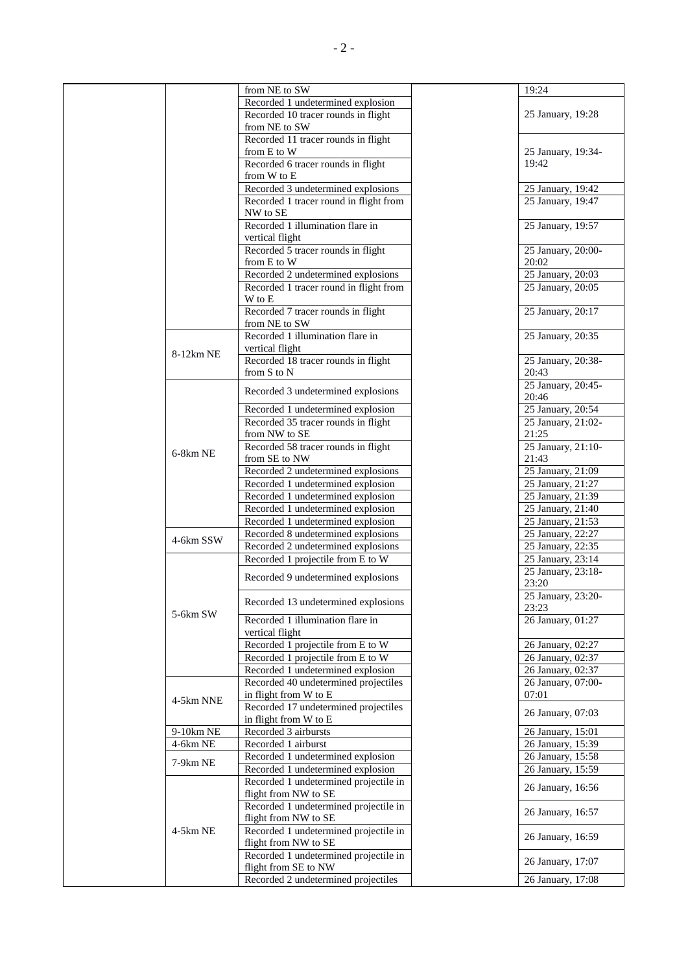|  |           | from NE to SW                                            | 19:24                                  |
|--|-----------|----------------------------------------------------------|----------------------------------------|
|  |           | Recorded 1 undetermined explosion                        |                                        |
|  |           | Recorded 10 tracer rounds in flight                      | 25 January, 19:28                      |
|  |           | from NE to SW                                            |                                        |
|  |           | Recorded 11 tracer rounds in flight                      |                                        |
|  |           | from E to W<br>Recorded 6 tracer rounds in flight        | 25 January, 19:34-<br>19:42            |
|  |           | from W to E                                              |                                        |
|  |           | Recorded 3 undetermined explosions                       | 25 January, 19:42                      |
|  |           | Recorded 1 tracer round in flight from                   | 25 January, 19:47                      |
|  |           | NW to SE                                                 |                                        |
|  |           | Recorded 1 illumination flare in                         | 25 January, 19:57                      |
|  |           | vertical flight                                          |                                        |
|  |           | Recorded 5 tracer rounds in flight                       | 25 January, 20:00-                     |
|  |           | from E to W                                              | 20:02                                  |
|  |           | Recorded 2 undetermined explosions                       | 25 January, 20:03                      |
|  |           | Recorded 1 tracer round in flight from                   | 25 January, 20:05                      |
|  |           | W to E<br>Recorded 7 tracer rounds in flight             | 25 January, 20:17                      |
|  |           | from NE to SW                                            |                                        |
|  |           | Recorded 1 illumination flare in                         | 25 January, 20:35                      |
|  |           | vertical flight                                          |                                        |
|  | 8-12km NE | Recorded 18 tracer rounds in flight                      | 25 January, 20:38-                     |
|  |           | from S to N                                              | 20:43                                  |
|  |           | Recorded 3 undetermined explosions                       | 25 January, 20:45-                     |
|  |           |                                                          | 20:46                                  |
|  |           | Recorded 1 undetermined explosion                        | 25 January, 20:54                      |
|  |           | Recorded 35 tracer rounds in flight                      | 25 January, 21:02-                     |
|  |           | from NW to SE<br>Recorded 58 tracer rounds in flight     | 21:25<br>25 January, 21:10-            |
|  | 6-8km NE  | from SE to NW                                            | 21:43                                  |
|  |           | Recorded 2 undetermined explosions                       | 25 January, 21:09                      |
|  |           | Recorded 1 undetermined explosion                        | 25 January, 21:27                      |
|  |           | Recorded 1 undetermined explosion                        | 25 January, 21:39                      |
|  |           | Recorded 1 undetermined explosion                        | 25 January, 21:40                      |
|  |           | Recorded 1 undetermined explosion                        | $\overline{25}$ January, 21:53         |
|  | 4-6km SSW | Recorded 8 undetermined explosions                       | 25 January, 22:27                      |
|  |           | Recorded 2 undetermined explosions                       | 25 January, 22:35                      |
|  |           | Recorded 1 projectile from E to W                        | 25 January, 23:14                      |
|  |           | Recorded 9 undetermined explosions                       | 25 January, 23:18-                     |
|  |           |                                                          | 23:20                                  |
|  |           | Recorded 13 undetermined explosions                      | 25 January, 23:20-<br>23:23            |
|  | 5-6km SW  | Recorded 1 illumination flare in                         | 26 January, 01:27                      |
|  |           | vertical flight                                          |                                        |
|  |           | Recorded 1 projectile from E to W                        | 26 January, 02:27                      |
|  |           | Recorded 1 projectile from E to W                        | 26 January, 02:37                      |
|  |           | Recorded 1 undetermined explosion                        | 26 January, 02:37                      |
|  |           | Recorded 40 undetermined projectiles                     | 26 January, 07:00-                     |
|  | 4-5km NNE | in flight from W to E                                    | 07:01                                  |
|  |           | Recorded 17 undetermined projectiles                     | 26 January, 07:03                      |
|  |           | in flight from W to E                                    |                                        |
|  | 9-10km NE | Recorded 3 airbursts                                     | 26 January, 15:01                      |
|  | 4-6km NE  | Recorded 1 airburst<br>Recorded 1 undetermined explosion | 26 January, 15:39<br>26 January, 15:58 |
|  | 7-9km NE  | Recorded 1 undetermined explosion                        | 26 January, 15:59                      |
|  |           | Recorded 1 undetermined projectile in                    |                                        |
|  |           | flight from NW to SE                                     | 26 January, 16:56                      |
|  |           | Recorded 1 undetermined projectile in                    |                                        |
|  | 4-5km NE  | flight from NW to SE                                     | 26 January, 16:57                      |
|  |           | Recorded 1 undetermined projectile in                    | 26 January, 16:59                      |
|  |           | flight from NW to SE                                     |                                        |
|  |           | Recorded 1 undetermined projectile in                    | 26 January, 17:07                      |
|  |           | flight from SE to NW                                     |                                        |
|  |           | Recorded 2 undetermined projectiles                      | 26 January, 17:08                      |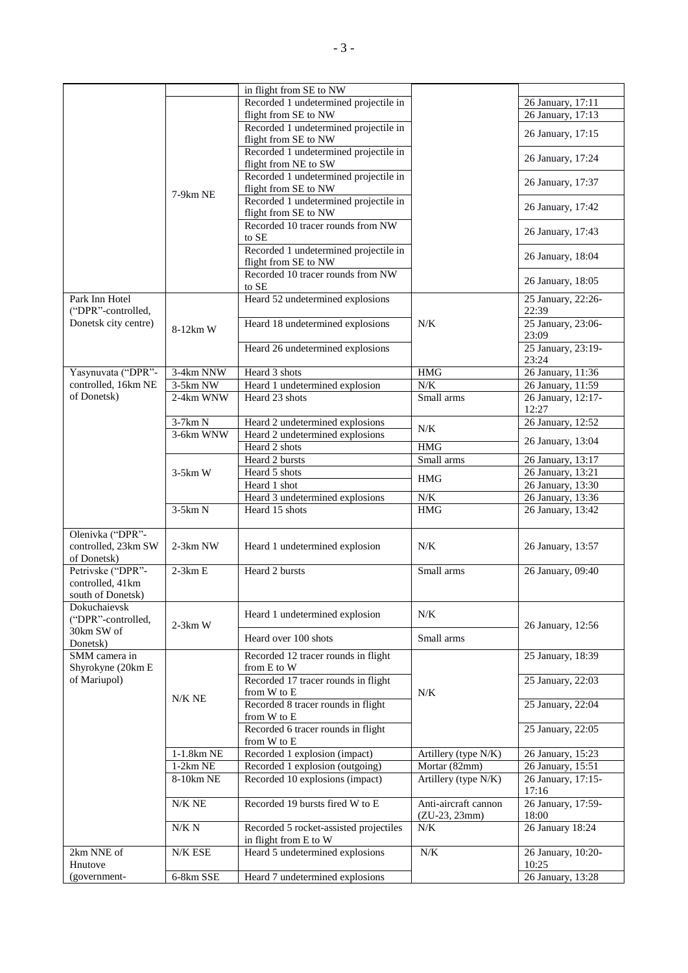|                                                        |               | in flight from SE to NW                                         |                                         |                             |
|--------------------------------------------------------|---------------|-----------------------------------------------------------------|-----------------------------------------|-----------------------------|
|                                                        |               | Recorded 1 undetermined projectile in                           |                                         | 26 January, 17:11           |
|                                                        |               | flight from SE to NW                                            |                                         | 26 January, 17:13           |
|                                                        |               | Recorded 1 undetermined projectile in<br>flight from SE to NW   |                                         | 26 January, 17:15           |
|                                                        |               | Recorded 1 undetermined projectile in<br>flight from NE to SW   |                                         | 26 January, 17:24           |
|                                                        |               | Recorded 1 undetermined projectile in<br>flight from SE to NW   |                                         | 26 January, 17:37           |
|                                                        | 7-9km NE      | Recorded 1 undetermined projectile in<br>flight from SE to NW   |                                         | 26 January, 17:42           |
|                                                        |               | Recorded 10 tracer rounds from NW<br>to SE                      |                                         | 26 January, 17:43           |
|                                                        |               | Recorded 1 undetermined projectile in<br>flight from SE to NW   |                                         | 26 January, 18:04           |
|                                                        |               | Recorded 10 tracer rounds from NW<br>to SE                      |                                         | 26 January, 18:05           |
| Park Inn Hotel<br>("DPR"-controlled,                   |               | Heard 52 undetermined explosions                                |                                         | 25 January, 22:26-<br>22:39 |
| Donetsk city centre)                                   | 8-12km W      | Heard 18 undetermined explosions                                | N/K                                     | 25 January, 23:06-<br>23:09 |
|                                                        |               | Heard 26 undetermined explosions                                |                                         | 25 January, 23:19-<br>23:24 |
| Yasynuvata ("DPR"-                                     | 3-4km NNW     | Heard 3 shots                                                   | <b>HMG</b>                              | 26 January, 11:36           |
| controlled, 16km NE                                    | 3-5km NW      | Heard 1 undetermined explosion                                  | N/K                                     | 26 January, 11:59           |
| of Donetsk)                                            | 2-4km WNW     | Heard 23 shots                                                  | Small arms                              | 26 January, 12:17-<br>12:27 |
|                                                        | 3-7km N       | Heard 2 undetermined explosions                                 |                                         | 26 January, 12:52           |
|                                                        | 3-6km WNW     | Heard 2 undetermined explosions                                 | N/K                                     |                             |
|                                                        |               | Heard 2 shots                                                   | HMG                                     | 26 January, 13:04           |
|                                                        |               | Heard 2 bursts                                                  | Small arms                              | 26 January, 13:17           |
|                                                        | $3-5km$ W     | Heard 5 shots                                                   | <b>HMG</b>                              | 26 January, 13:21           |
|                                                        |               | Heard 1 shot                                                    |                                         | 26 January, 13:30           |
|                                                        |               | Heard 3 undetermined explosions                                 | N/K                                     | 26 January, 13:36           |
|                                                        | $3-5km N$     | Heard 15 shots                                                  | HMG                                     | 26 January, 13:42           |
| Olenivka ("DPR"-<br>controlled, 23km SW<br>of Donetsk) | 2-3km NW      | Heard 1 undetermined explosion                                  | N/K                                     | 26 January, 13:57           |
| Petrivske ("DPR"-<br>controlled, 41km                  | $2-3km E$     | Heard 2 bursts                                                  | Small arms                              | 26 January, 09:40           |
| south of Donetsk)                                      |               |                                                                 |                                         |                             |
| Dokuchaievsk<br>("DPR"-controlled,                     | $2-3km$ W     | Heard 1 undetermined explosion                                  | N/K                                     | 26 January, 12:56           |
| 30km SW of<br>Donetsk)                                 |               | Heard over 100 shots                                            | Small arms                              |                             |
| SMM camera in<br>Shyrokyne (20km E                     |               | Recorded 12 tracer rounds in flight<br>from E to W              |                                         | 25 January, 18:39           |
| of Mariupol)                                           | $N/K$ NE      | Recorded 17 tracer rounds in flight<br>from W to E              | N/K                                     | 25 January, 22:03           |
|                                                        |               | Recorded 8 tracer rounds in flight<br>from W to E               |                                         | 25 January, 22:04           |
|                                                        |               | Recorded 6 tracer rounds in flight<br>from W to E               |                                         | 25 January, 22:05           |
|                                                        | $1-1.8km$ NE  | Recorded 1 explosion (impact)                                   | Artillery (type N/K)                    | 26 January, 15:23           |
|                                                        | $1-2km$ NE    | Recorded 1 explosion (outgoing)                                 | Mortar (82mm)                           | 26 January, 15:51           |
|                                                        | 8-10km NE     | Recorded 10 explosions (impact)                                 | Artillery (type N/K)                    | 26 January, 17:15-<br>17:16 |
|                                                        | N/K NE        | Recorded 19 bursts fired W to E                                 | Anti-aircraft cannon<br>$(ZU-23, 23mm)$ | 26 January, 17:59-<br>18:00 |
|                                                        | N/K N         | Recorded 5 rocket-assisted projectiles<br>in flight from E to W | N/K                                     | 26 January 18:24            |
| 2km NNE of<br>Hnutove                                  | $N\!/\!K$ ESE | Heard 5 undetermined explosions                                 | $N\!/\!K$                               | 26 January, 10:20-<br>10:25 |
| (government-                                           | 6-8km SSE     | Heard 7 undetermined explosions                                 |                                         | 26 January, 13:28           |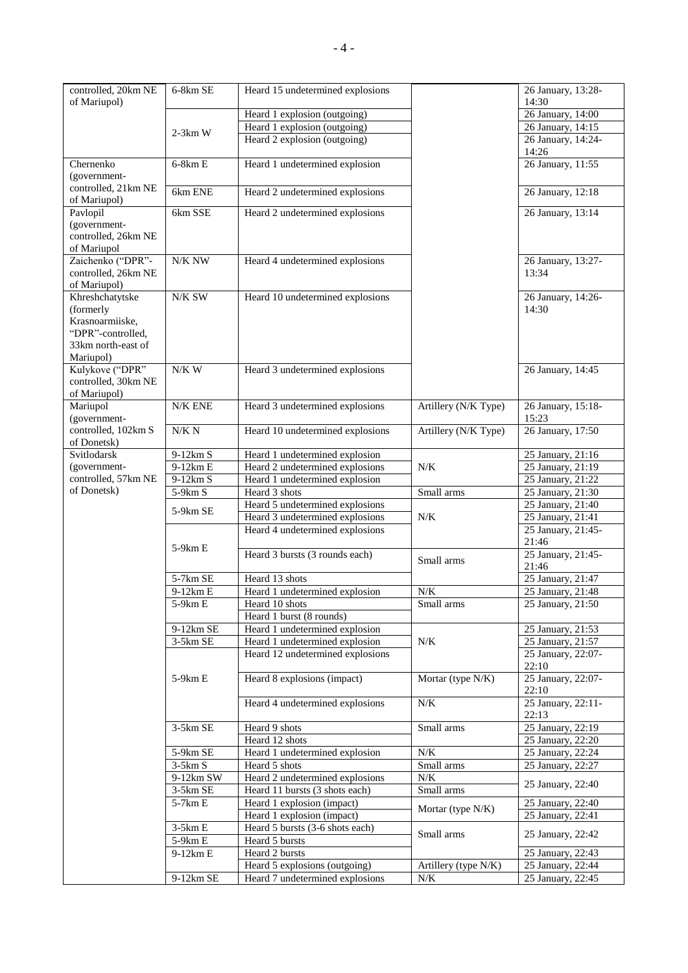| controlled, 20km NE<br>of Mariupol)     | 6-8km SE           | Heard 15 undetermined explosions                  |                      | 26 January, 13:28-<br>14:30    |
|-----------------------------------------|--------------------|---------------------------------------------------|----------------------|--------------------------------|
|                                         |                    | Heard 1 explosion (outgoing)                      |                      | 26 January, 14:00              |
|                                         | $2-3km$ W          | Heard 1 explosion (outgoing)                      |                      | 26 January, 14:15              |
|                                         |                    | Heard 2 explosion (outgoing)                      |                      | 26 January, 14:24-             |
|                                         |                    |                                                   |                      | 14:26                          |
| Chernenko<br>(government-               | $6-8km E$          | Heard 1 undetermined explosion                    |                      | 26 January, 11:55              |
| controlled, 21km NE<br>of Mariupol)     | 6km ENE            | Heard 2 undetermined explosions                   |                      | 26 January, 12:18              |
| Pavlopil                                | 6km SSE            | Heard 2 undetermined explosions                   |                      | 26 January, 13:14              |
| (government-                            |                    |                                                   |                      |                                |
| controlled, 26km NE                     |                    |                                                   |                      |                                |
| of Mariupol                             |                    |                                                   |                      |                                |
| Zaichenko ("DPR"-                       | $\rm N/K$ $\rm NW$ | Heard 4 undetermined explosions                   |                      | 26 January, 13:27-             |
| controlled, 26km NE                     |                    |                                                   |                      | 13:34                          |
| of Mariupol)                            |                    |                                                   |                      |                                |
| Khreshchatytske                         | $N/K$ ${\rm SW}$   | Heard 10 undetermined explosions                  |                      | 26 January, 14:26-             |
| (formerly                               |                    |                                                   |                      | 14:30                          |
| Krasnoarmiiske,                         |                    |                                                   |                      |                                |
| "DPR"-controlled,<br>33km north-east of |                    |                                                   |                      |                                |
| Mariupol)                               |                    |                                                   |                      |                                |
| Kulykove ("DPR"                         | $N/K \; W$         | Heard 3 undetermined explosions                   |                      | 26 January, 14:45              |
| controlled, 30km NE                     |                    |                                                   |                      |                                |
| of Mariupol)                            |                    |                                                   |                      |                                |
| Mariupol                                | N/K ENE            | Heard 3 undetermined explosions                   | Artillery (N/K Type) | 26 January, 15:18-             |
| (government-                            |                    |                                                   |                      | 15:23                          |
| controlled, 102km S                     | N/K N              | Heard 10 undetermined explosions                  | Artillery (N/K Type) | 26 January, 17:50              |
| of Donetsk)                             |                    |                                                   |                      |                                |
| Svitlodarsk                             | 9-12km S           | Heard 1 undetermined explosion                    |                      | 25 January, 21:16              |
| (government-                            | 9-12km E           | Heard 2 undetermined explosions                   | N/K                  | $\overline{25}$ January, 21:19 |
| controlled, 57km NE                     | $9-12km S$         | Heard 1 undetermined explosion                    |                      | $\overline{25}$ January, 21:22 |
|                                         |                    |                                                   |                      |                                |
| of Donetsk)                             | 5-9km S            | Heard 3 shots                                     | Small arms           | 25 January, 21:30              |
|                                         |                    | Heard 5 undetermined explosions                   |                      | 25 January, 21:40              |
|                                         | 5-9km SE           | Heard 3 undetermined explosions                   | N/K                  | 25 January, 21:41              |
|                                         |                    | Heard 4 undetermined explosions                   |                      | 25 January, 21:45-             |
|                                         | 5-9km E            |                                                   |                      | 21:46                          |
|                                         |                    | Heard 3 bursts (3 rounds each)                    | Small arms           | 25 January, 21:45-             |
|                                         |                    |                                                   |                      | 21:46                          |
|                                         | 5-7km SE           | Heard 13 shots                                    |                      | 25 January, 21:47              |
|                                         | $9-12km E$         | Heard 1 undetermined explosion                    | $N\!/\!K$            | 25 January, 21:48              |
|                                         | 5-9km E            | Heard 10 shots                                    | Small arms           | 25 January, 21:50              |
|                                         |                    | Heard 1 burst (8 rounds)                          |                      |                                |
|                                         | 9-12km SE          | Heard 1 undetermined explosion                    |                      | 25 January, 21:53              |
|                                         | $3-5km$ SE         | Heard 1 undetermined explosion                    | N/K                  | 25 January, 21:57              |
|                                         |                    | Heard 12 undetermined explosions                  |                      | 25 January, 22:07-<br>22:10    |
|                                         | $5-9km E$          | Heard 8 explosions (impact)                       | Mortar (type N/K)    | 25 January, 22:07-             |
|                                         |                    |                                                   |                      | 22:10                          |
|                                         |                    | Heard 4 undetermined explosions                   | N/K                  | 25 January, 22:11-             |
|                                         |                    |                                                   |                      | 22:13                          |
|                                         | 3-5km SE           | Heard 9 shots                                     | Small arms           | 25 January, 22:19              |
|                                         |                    | Heard 12 shots                                    |                      | 25 January, 22:20              |
|                                         | 5-9km SE           | Heard 1 undetermined explosion                    | N/K                  | 25 January, 22:24              |
|                                         | $3-5km S$          | Heard 5 shots                                     | Small arms           | 25 January, 22:27              |
|                                         | 9-12km SW          | Heard 2 undetermined explosions                   | N/K                  | 25 January, 22:40              |
|                                         | 3-5km SE           | Heard 11 bursts (3 shots each)                    | Small arms           |                                |
|                                         | 5-7km E            | Heard 1 explosion (impact)                        | Mortar (type N/K)    | 25 January, 22:40              |
|                                         | $3-5km E$          | Heard 1 explosion (impact)                        |                      | 25 January, 22:41              |
|                                         | 5-9km E            | Heard 5 bursts (3-6 shots each)<br>Heard 5 bursts | Small arms           | 25 January, 22:42              |
|                                         | 9-12km E           | Heard 2 bursts                                    |                      | 25 January, 22:43              |
|                                         |                    | Heard 5 explosions (outgoing)                     | Artillery (type N/K) | 25 January, 22:44              |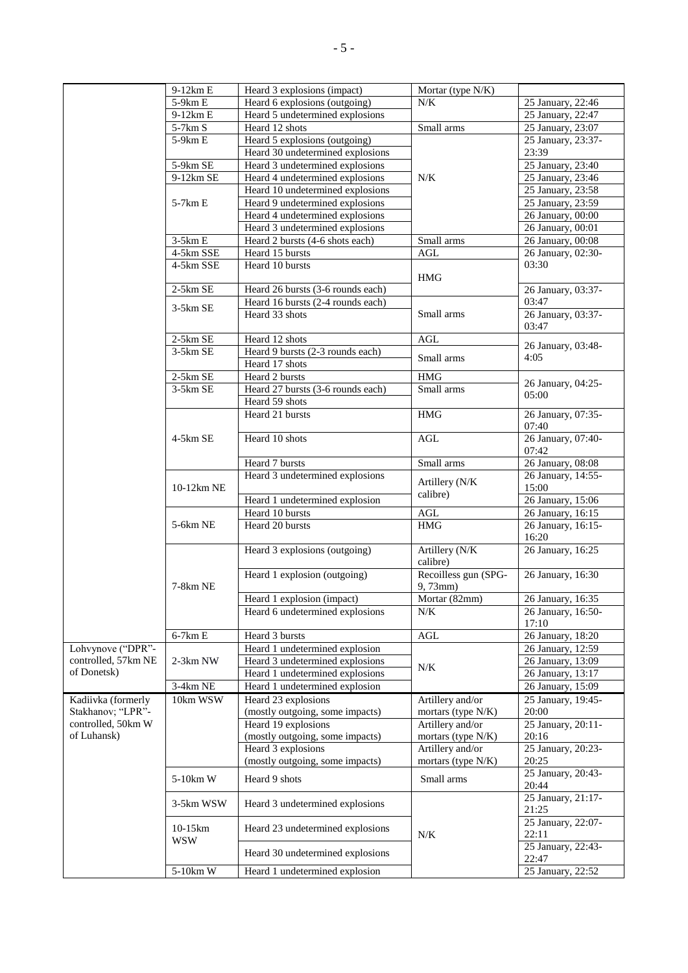|                                    | 9-12km E    | Heard 3 explosions (impact)                           | Mortar (type N/K)                      |                             |
|------------------------------------|-------------|-------------------------------------------------------|----------------------------------------|-----------------------------|
|                                    | 5-9km E     | Heard 6 explosions (outgoing)                         | N/K                                    | 25 January, 22:46           |
|                                    | $9-12km E$  | Heard 5 undetermined explosions                       |                                        | 25 January, 22:47           |
|                                    | 5-7km S     | Heard 12 shots                                        | Small arms                             | 25 January, 23:07           |
|                                    | 5-9km E     | Heard 5 explosions (outgoing)                         |                                        | 25 January, 23:37-          |
|                                    |             | Heard 30 undetermined explosions                      |                                        | 23:39                       |
|                                    | 5-9km SE    | Heard 3 undetermined explosions                       |                                        | 25 January, 23:40           |
|                                    | 9-12km SE   | Heard 4 undetermined explosions                       | N/K                                    | 25 January, 23:46           |
|                                    |             | Heard 10 undetermined explosions                      |                                        | 25 January, 23:58           |
|                                    | 5-7km E     | Heard 9 undetermined explosions                       |                                        | 25 January, 23:59           |
|                                    |             | Heard 4 undetermined explosions                       |                                        | 26 January, 00:00           |
|                                    |             | Heard 3 undetermined explosions                       |                                        | 26 January, 00:01           |
|                                    | $3-5km E$   | Heard 2 bursts (4-6 shots each)                       | Small arms                             | 26 January, 00:08           |
|                                    | $4-5km$ SSE | Heard 15 bursts                                       | $\operatorname{AGL}$                   | 26 January, 02:30-          |
|                                    | 4-5km SSE   | Heard 10 bursts                                       |                                        | 03:30                       |
|                                    |             |                                                       | <b>HMG</b>                             |                             |
|                                    | $2-5km$ SE  | Heard 26 bursts (3-6 rounds each)                     |                                        | 26 January, 03:37-          |
|                                    |             | Heard 16 bursts (2-4 rounds each)                     |                                        | 03:47                       |
|                                    | 3-5km SE    | Heard 33 shots                                        | Small arms                             | 26 January, 03:37-          |
|                                    |             |                                                       |                                        | 03:47                       |
|                                    | $2-5km$ SE  | Heard 12 shots                                        | AGL                                    |                             |
|                                    | $3-5km$ SE  | Heard 9 bursts (2-3 rounds each)                      |                                        | 26 January, 03:48-          |
|                                    |             | Heard 17 shots                                        | Small arms                             | 4:05                        |
|                                    | $2-5km$ SE  | Heard 2 bursts                                        | <b>HMG</b>                             |                             |
|                                    | 3-5km SE    | Heard 27 bursts (3-6 rounds each)                     | Small arms                             | 26 January, 04:25-          |
|                                    |             | Heard 59 shots                                        |                                        | 05:00                       |
|                                    |             | Heard 21 bursts                                       | <b>HMG</b>                             | 26 January, 07:35-          |
|                                    |             |                                                       |                                        | 07:40                       |
|                                    | 4-5km SE    | Heard 10 shots                                        | AGL                                    | 26 January, 07:40-          |
|                                    |             |                                                       |                                        | 07:42                       |
|                                    |             | Heard 7 bursts                                        | Small arms                             | 26 January, 08:08           |
|                                    |             | Heard 3 undetermined explosions                       |                                        | 26 January, 14:55-          |
|                                    | 10-12km NE  |                                                       | Artillery (N/K<br>calibre)             | 15:00                       |
|                                    |             | Heard 1 undetermined explosion                        |                                        | 26 January, 15:06           |
|                                    |             | Heard 10 bursts                                       | $\operatorname{AGL}$                   | 26 January, 16:15           |
|                                    | 5-6km NE    | Heard 20 bursts                                       | <b>HMG</b>                             | 26 January, 16:15-          |
|                                    |             |                                                       |                                        | 16:20                       |
|                                    |             | Heard 3 explosions (outgoing)                         | Artillery (N/K                         | 26 January, 16:25           |
|                                    |             |                                                       | calibre)                               |                             |
|                                    |             | Heard 1 explosion (outgoing)                          | Recoilless gun (SPG-                   | 26 January, 16:30           |
|                                    | 7-8km NE    |                                                       | $9,73$ mm $)$                          |                             |
|                                    |             | Heard 1 explosion (impact)                            | Mortar (82mm)                          | 26 January, 16:35           |
|                                    |             | Heard 6 undetermined explosions                       | N/K                                    | 26 January, 16:50-          |
|                                    |             |                                                       |                                        | 17:10                       |
|                                    | $6-7km E$   | Heard 3 bursts                                        | AGL                                    | 26 January, 18:20           |
| Lohvynove ("DPR"-                  |             | Heard 1 undetermined explosion                        |                                        | 26 January, 12:59           |
| controlled, 57km NE<br>of Donetsk) | 2-3km NW    | Heard 3 undetermined explosions                       | N/K                                    | 26 January, 13:09           |
|                                    |             | Heard 1 undetermined explosions                       |                                        | 26 January, 13:17           |
|                                    | 3-4km NE    | Heard 1 undetermined explosion                        |                                        | 26 January, 15:09           |
| Kadiivka (formerly                 | 10km WSW    | Heard 23 explosions                                   | Artillery and/or                       | 25 January, 19:45-          |
| Stakhanov; "LPR"-                  |             | (mostly outgoing, some impacts)                       | mortars (type N/K)                     | 20:00                       |
| controlled, 50km W                 |             | Heard 19 explosions                                   | Artillery and/or                       | 25 January, 20:11-          |
| of Luhansk)                        |             | (mostly outgoing, some impacts)<br>Heard 3 explosions | mortars (type N/K)<br>Artillery and/or | 20:16<br>25 January, 20:23- |
|                                    |             | (mostly outgoing, some impacts)                       | mortars (type N/K)                     | 20:25                       |
|                                    |             |                                                       |                                        | 25 January, 20:43-          |
|                                    | 5-10km W    | Heard 9 shots                                         | Small arms                             | 20:44                       |
|                                    |             |                                                       |                                        | 25 January, 21:17-          |
|                                    | 3-5km WSW   | Heard 3 undetermined explosions                       |                                        | 21:25                       |
|                                    |             |                                                       |                                        | 25 January, 22:07-          |
|                                    | 10-15km     | Heard 23 undetermined explosions                      | $N\!/\!K$                              | 22:11                       |
|                                    | <b>WSW</b>  |                                                       |                                        | 25 January, 22:43-          |
|                                    |             | Heard 30 undetermined explosions                      |                                        | 22:47                       |
|                                    | 5-10km W    | Heard 1 undetermined explosion                        |                                        | 25 January, 22:52           |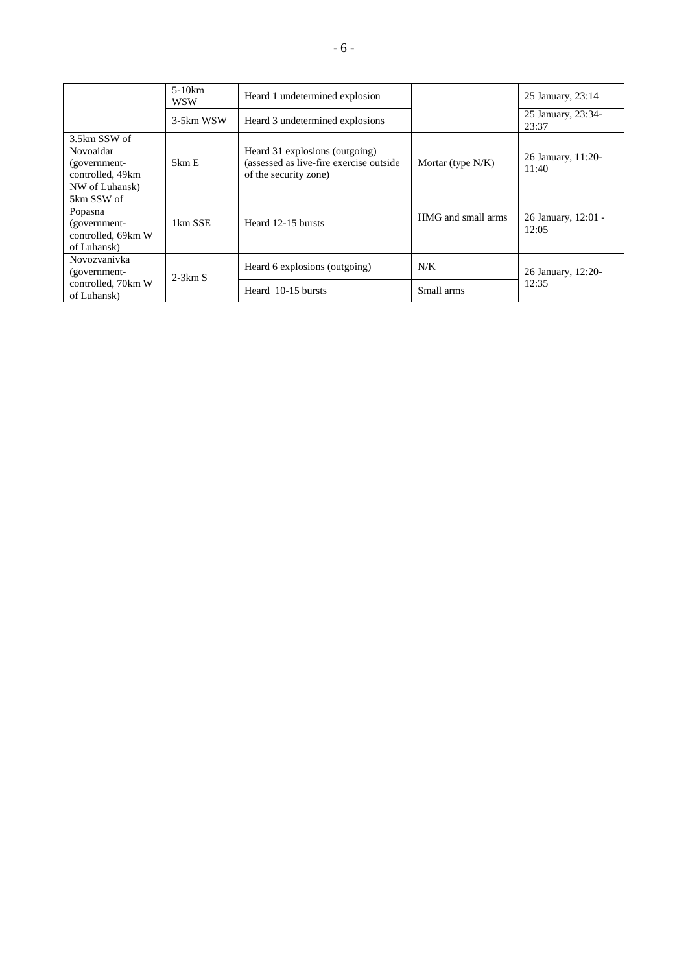|                                                                                 | $5-10km$<br><b>WSW</b> | Heard 1 undetermined explosion                                                                      |                      | 25 January, 23:14            |
|---------------------------------------------------------------------------------|------------------------|-----------------------------------------------------------------------------------------------------|----------------------|------------------------------|
|                                                                                 | 3-5km WSW              | Heard 3 undetermined explosions                                                                     |                      | 25 January, 23:34-<br>23:37  |
| 3.5km SSW of<br>Novoaidar<br>(government-<br>controlled, 49km<br>NW of Luhansk) | 5km E                  | Heard 31 explosions (outgoing)<br>(assessed as live-fire exercise outside)<br>of the security zone) | Mortar (type $N/K$ ) | 26 January, 11:20-<br>11:40  |
| 5km SSW of<br>Popasna<br>(government-<br>controlled, 69km W<br>of Luhansk)      | 1km SSE                | Heard 12-15 bursts                                                                                  | HMG and small arms   | 26 January, 12:01 -<br>12:05 |
| Novozvanivka<br>(government-                                                    | $2-3km S$              | Heard 6 explosions (outgoing)                                                                       | N/K                  | 26 January, 12:20-           |
| controlled, 70km W<br>of Luhansk)                                               |                        | Heard 10-15 bursts                                                                                  | Small arms           | 12:35                        |